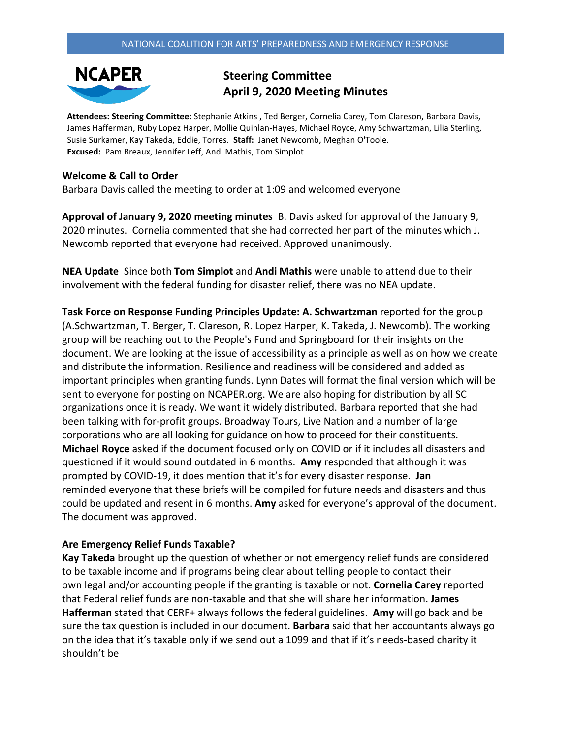

# **Steering Committee April 9, 2020 Meeting Minutes**

**Attendees: Steering Committee:** Stephanie Atkins , Ted Berger, Cornelia Carey, Tom Clareson, Barbara Davis, James Hafferman, Ruby Lopez Harper, Mollie Quinlan-Hayes, Michael Royce, Amy Schwartzman, Lilia Sterling, Susie Surkamer, Kay Takeda, Eddie, Torres. **Staff:** Janet Newcomb, Meghan O'Toole. **Excused:** Pam Breaux, Jennifer Leff, Andi Mathis, Tom Simplot

### **Welcome & Call to Order**

Barbara Davis called the meeting to order at 1:09 and welcomed everyone

**Approval of January 9, 2020 meeting minutes** B. Davis asked for approval of the January 9, 2020 minutes. Cornelia commented that she had corrected her part of the minutes which J. Newcomb reported that everyone had received. Approved unanimously.

**NEA Update** Since both **Tom Simplot** and **Andi Mathis** were unable to attend due to their involvement with the federal funding for disaster relief, there was no NEA update.

**Task Force on Response Funding Principles Update: A. Schwartzman** reported for the group (A.Schwartzman, T. Berger, T. Clareson, R. Lopez Harper, K. Takeda, J. Newcomb). The working group will be reaching out to the People's Fund and Springboard for their insights on the document. We are looking at the issue of accessibility as a principle as well as on how we create and distribute the information. Resilience and readiness will be considered and added as important principles when granting funds. Lynn Dates will format the final version which will be sent to everyone for posting on NCAPER.org. We are also hoping for distribution by all SC organizations once it is ready. We want it widely distributed. Barbara reported that she had been talking with for-profit groups. Broadway Tours, Live Nation and a number of large corporations who are all looking for guidance on how to proceed for their constituents. **Michael Royce** asked if the document focused only on COVID or if it includes all disasters and questioned if it would sound outdated in 6 months. **Amy** responded that although it was prompted by COVID-19, it does mention that it's for every disaster response. **Jan** reminded everyone that these briefs will be compiled for future needs and disasters and thus could be updated and resent in 6 months. **Amy** asked for everyone's approval of the document. The document was approved.

### **Are Emergency Relief Funds Taxable?**

**Kay Takeda** brought up the question of whether or not emergency relief funds are considered to be taxable income and if programs being clear about telling people to contact their own legal and/or accounting people if the granting is taxable or not. **Cornelia Carey** reported that Federal relief funds are non-taxable and that she will share her information. **James Hafferman** stated that CERF+ always follows the federal guidelines. **Amy** will go back and be sure the tax question is included in our document. **Barbara** said that her accountants always go on the idea that it's taxable only if we send out a 1099 and that if it's needs-based charity it shouldn't be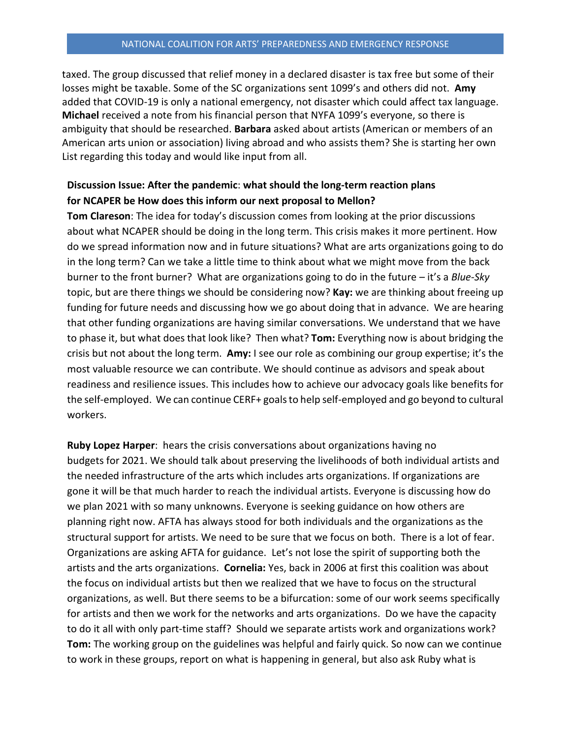#### NATIONAL COALITION FOR ARTS' PREPAREDNESS AND EMERGENCY RESPONSE

taxed. The group discussed that relief money in a declared disaster is tax free but some of their losses might be taxable. Some of the SC organizations sent 1099's and others did not. **Amy** added that COVID-19 is only a national emergency, not disaster which could affect tax language. **Michael** received a note from his financial person that NYFA 1099's everyone, so there is ambiguity that should be researched. **Barbara** asked about artists (American or members of an American arts union or association) living abroad and who assists them? She is starting her own List regarding this today and would like input from all.

## **Discussion Issue: After the pandemic**: **what should the long-term reaction plans for NCAPER be How does this inform our next proposal to Mellon?**

**Tom Clareson**: The idea for today's discussion comes from looking at the prior discussions about what NCAPER should be doing in the long term. This crisis makes it more pertinent. How do we spread information now and in future situations? What are arts organizations going to do in the long term? Can we take a little time to think about what we might move from the back burner to the front burner? What are organizations going to do in the future – it's a *Blue-Sky* topic, but are there things we should be considering now? **Kay:** we are thinking about freeing up funding for future needs and discussing how we go about doing that in advance. We are hearing that other funding organizations are having similar conversations. We understand that we have to phase it, but what does that look like? Then what? **Tom:** Everything now is about bridging the crisis but not about the long term. **Amy:** I see our role as combining our group expertise; it's the most valuable resource we can contribute. We should continue as advisors and speak about readiness and resilience issues. This includes how to achieve our advocacy goals like benefits for the self-employed. We can continue CERF+ goals to help self-employed and go beyond to cultural workers.

**Ruby Lopez Harper**: hears the crisis conversations about organizations having no budgets for 2021. We should talk about preserving the livelihoods of both individual artists and the needed infrastructure of the arts which includes arts organizations. If organizations are gone it will be that much harder to reach the individual artists. Everyone is discussing how do we plan 2021 with so many unknowns. Everyone is seeking guidance on how others are planning right now. AFTA has always stood for both individuals and the organizations as the structural support for artists. We need to be sure that we focus on both. There is a lot of fear. Organizations are asking AFTA for guidance. Let's not lose the spirit of supporting both the artists and the arts organizations. **Cornelia:** Yes, back in 2006 at first this coalition was about the focus on individual artists but then we realized that we have to focus on the structural organizations, as well. But there seems to be a bifurcation: some of our work seems specifically for artists and then we work for the networks and arts organizations. Do we have the capacity to do it all with only part-time staff? Should we separate artists work and organizations work? **Tom:** The working group on the guidelines was helpful and fairly quick. So now can we continue to work in these groups, report on what is happening in general, but also ask Ruby what is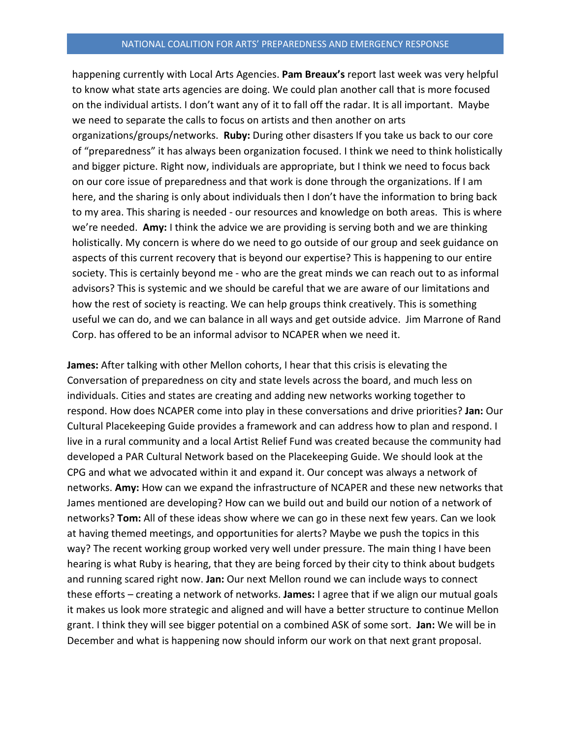happening currently with Local Arts Agencies. **Pam Breaux's** report last week was very helpful to know what state arts agencies are doing. We could plan another call that is more focused on the individual artists. I don't want any of it to fall off the radar. It is all important. Maybe we need to separate the calls to focus on artists and then another on arts organizations/groups/networks. **Ruby:** During other disasters If you take us back to our core of "preparedness" it has always been organization focused. I think we need to think holistically and bigger picture. Right now, individuals are appropriate, but I think we need to focus back on our core issue of preparedness and that work is done through the organizations. If I am here, and the sharing is only about individuals then I don't have the information to bring back to my area. This sharing is needed - our resources and knowledge on both areas. This is where we're needed. **Amy:** I think the advice we are providing is serving both and we are thinking holistically. My concern is where do we need to go outside of our group and seek guidance on aspects of this current recovery that is beyond our expertise? This is happening to our entire society. This is certainly beyond me - who are the great minds we can reach out to as informal advisors? This is systemic and we should be careful that we are aware of our limitations and how the rest of society is reacting. We can help groups think creatively. This is something useful we can do, and we can balance in all ways and get outside advice. Jim Marrone of Rand Corp. has offered to be an informal advisor to NCAPER when we need it.

**James:** After talking with other Mellon cohorts, I hear that this crisis is elevating the Conversation of preparedness on city and state levels across the board, and much less on individuals. Cities and states are creating and adding new networks working together to respond. How does NCAPER come into play in these conversations and drive priorities? **Jan:** Our Cultural Placekeeping Guide provides a framework and can address how to plan and respond. I live in a rural community and a local Artist Relief Fund was created because the community had developed a PAR Cultural Network based on the Placekeeping Guide. We should look at the CPG and what we advocated within it and expand it. Our concept was always a network of networks. **Amy:** How can we expand the infrastructure of NCAPER and these new networks that James mentioned are developing? How can we build out and build our notion of a network of networks? **Tom:** All of these ideas show where we can go in these next few years. Can we look at having themed meetings, and opportunities for alerts? Maybe we push the topics in this way? The recent working group worked very well under pressure. The main thing I have been hearing is what Ruby is hearing, that they are being forced by their city to think about budgets and running scared right now. **Jan:** Our next Mellon round we can include ways to connect these efforts – creating a network of networks. **James:** I agree that if we align our mutual goals it makes us look more strategic and aligned and will have a better structure to continue Mellon grant. I think they will see bigger potential on a combined ASK of some sort. **Jan:** We will be in December and what is happening now should inform our work on that next grant proposal.